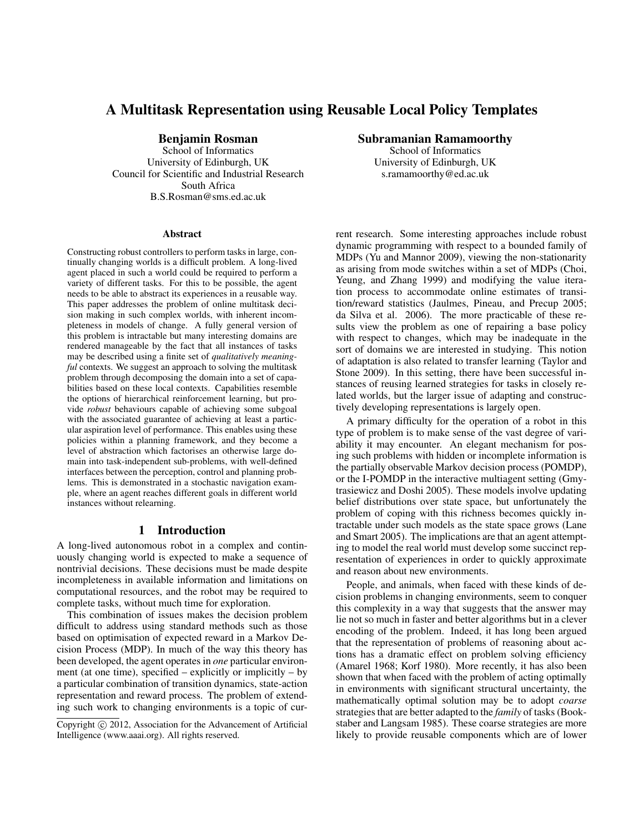# A Multitask Representation using Reusable Local Policy Templates

Benjamin Rosman

School of Informatics University of Edinburgh, UK Council for Scientific and Industrial Research South Africa B.S.Rosman@sms.ed.ac.uk

#### **Abstract**

Constructing robust controllers to perform tasks in large, continually changing worlds is a difficult problem. A long-lived agent placed in such a world could be required to perform a variety of different tasks. For this to be possible, the agent needs to be able to abstract its experiences in a reusable way. This paper addresses the problem of online multitask decision making in such complex worlds, with inherent incompleteness in models of change. A fully general version of this problem is intractable but many interesting domains are rendered manageable by the fact that all instances of tasks may be described using a finite set of *qualitatively meaningful* contexts. We suggest an approach to solving the multitask problem through decomposing the domain into a set of capabilities based on these local contexts. Capabilities resemble the options of hierarchical reinforcement learning, but provide *robust* behaviours capable of achieving some subgoal with the associated guarantee of achieving at least a particular aspiration level of performance. This enables using these policies within a planning framework, and they become a level of abstraction which factorises an otherwise large domain into task-independent sub-problems, with well-defined interfaces between the perception, control and planning problems. This is demonstrated in a stochastic navigation example, where an agent reaches different goals in different world instances without relearning.

### 1 Introduction

A long-lived autonomous robot in a complex and continuously changing world is expected to make a sequence of nontrivial decisions. These decisions must be made despite incompleteness in available information and limitations on computational resources, and the robot may be required to complete tasks, without much time for exploration.

This combination of issues makes the decision problem difficult to address using standard methods such as those based on optimisation of expected reward in a Markov Decision Process (MDP). In much of the way this theory has been developed, the agent operates in *one* particular environment (at one time), specified – explicitly or implicitly – by a particular combination of transition dynamics, state-action representation and reward process. The problem of extending such work to changing environments is a topic of curSubramanian Ramamoorthy

School of Informatics University of Edinburgh, UK s.ramamoorthy@ed.ac.uk

rent research. Some interesting approaches include robust dynamic programming with respect to a bounded family of MDPs (Yu and Mannor 2009), viewing the non-stationarity as arising from mode switches within a set of MDPs (Choi, Yeung, and Zhang 1999) and modifying the value iteration process to accommodate online estimates of transition/reward statistics (Jaulmes, Pineau, and Precup 2005; da Silva et al. 2006). The more practicable of these results view the problem as one of repairing a base policy with respect to changes, which may be inadequate in the sort of domains we are interested in studying. This notion of adaptation is also related to transfer learning (Taylor and Stone 2009). In this setting, there have been successful instances of reusing learned strategies for tasks in closely related worlds, but the larger issue of adapting and constructively developing representations is largely open.

A primary difficulty for the operation of a robot in this type of problem is to make sense of the vast degree of variability it may encounter. An elegant mechanism for posing such problems with hidden or incomplete information is the partially observable Markov decision process (POMDP), or the I-POMDP in the interactive multiagent setting (Gmytrasiewicz and Doshi 2005). These models involve updating belief distributions over state space, but unfortunately the problem of coping with this richness becomes quickly intractable under such models as the state space grows (Lane and Smart 2005). The implications are that an agent attempting to model the real world must develop some succinct representation of experiences in order to quickly approximate and reason about new environments.

People, and animals, when faced with these kinds of decision problems in changing environments, seem to conquer this complexity in a way that suggests that the answer may lie not so much in faster and better algorithms but in a clever encoding of the problem. Indeed, it has long been argued that the representation of problems of reasoning about actions has a dramatic effect on problem solving efficiency (Amarel 1968; Korf 1980). More recently, it has also been shown that when faced with the problem of acting optimally in environments with significant structural uncertainty, the mathematically optimal solution may be to adopt *coarse* strategies that are better adapted to the *family* of tasks (Bookstaber and Langsam 1985). These coarse strategies are more likely to provide reusable components which are of lower

Copyright (c) 2012, Association for the Advancement of Artificial Intelligence (www.aaai.org). All rights reserved.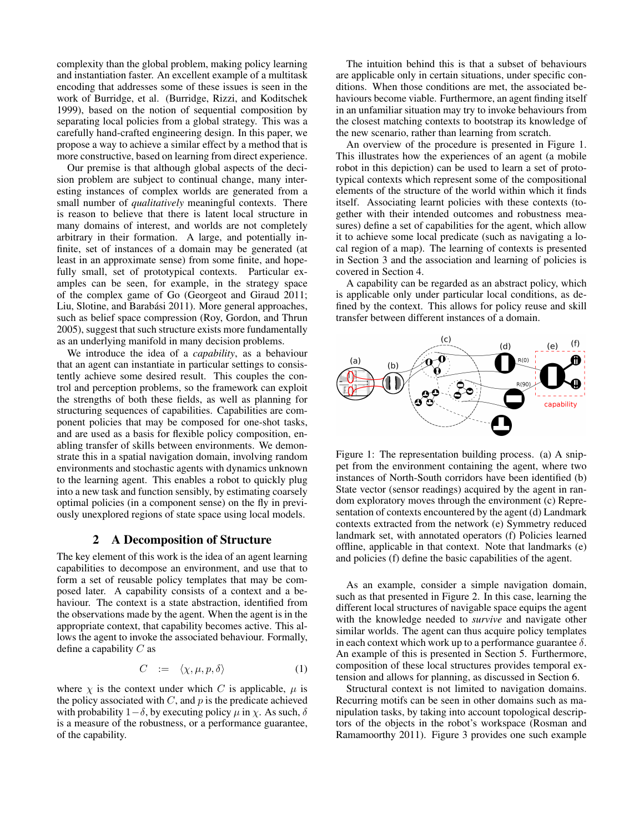complexity than the global problem, making policy learning and instantiation faster. An excellent example of a multitask encoding that addresses some of these issues is seen in the work of Burridge, et al. (Burridge, Rizzi, and Koditschek 1999), based on the notion of sequential composition by separating local policies from a global strategy. This was a carefully hand-crafted engineering design. In this paper, we propose a way to achieve a similar effect by a method that is more constructive, based on learning from direct experience.

Our premise is that although global aspects of the decision problem are subject to continual change, many interesting instances of complex worlds are generated from a small number of *qualitatively* meaningful contexts. There is reason to believe that there is latent local structure in many domains of interest, and worlds are not completely arbitrary in their formation. A large, and potentially infinite, set of instances of a domain may be generated (at least in an approximate sense) from some finite, and hopefully small, set of prototypical contexts. Particular examples can be seen, for example, in the strategy space of the complex game of Go (Georgeot and Giraud 2011; Liu, Slotine, and Barabási 2011). More general approaches, such as belief space compression (Roy, Gordon, and Thrun 2005), suggest that such structure exists more fundamentally as an underlying manifold in many decision problems.

We introduce the idea of a *capability*, as a behaviour that an agent can instantiate in particular settings to consistently achieve some desired result. This couples the control and perception problems, so the framework can exploit the strengths of both these fields, as well as planning for structuring sequences of capabilities. Capabilities are component policies that may be composed for one-shot tasks, and are used as a basis for flexible policy composition, enabling transfer of skills between environments. We demonstrate this in a spatial navigation domain, involving random environments and stochastic agents with dynamics unknown to the learning agent. This enables a robot to quickly plug into a new task and function sensibly, by estimating coarsely optimal policies (in a component sense) on the fly in previously unexplored regions of state space using local models.

#### 2 A Decomposition of Structure

The key element of this work is the idea of an agent learning capabilities to decompose an environment, and use that to form a set of reusable policy templates that may be composed later. A capability consists of a context and a behaviour. The context is a state abstraction, identified from the observations made by the agent. When the agent is in the appropriate context, that capability becomes active. This allows the agent to invoke the associated behaviour. Formally, define a capability  $C$  as

$$
C := \langle \chi, \mu, p, \delta \rangle \tag{1}
$$

where  $\chi$  is the context under which C is applicable,  $\mu$  is the policy associated with  $C$ , and  $p$  is the predicate achieved with probability  $1-\delta$ , by executing policy  $\mu$  in  $\chi$ . As such,  $\delta$ is a measure of the robustness, or a performance guarantee, of the capability.

The intuition behind this is that a subset of behaviours are applicable only in certain situations, under specific conditions. When those conditions are met, the associated behaviours become viable. Furthermore, an agent finding itself in an unfamiliar situation may try to invoke behaviours from the closest matching contexts to bootstrap its knowledge of the new scenario, rather than learning from scratch.

An overview of the procedure is presented in Figure 1. This illustrates how the experiences of an agent (a mobile robot in this depiction) can be used to learn a set of prototypical contexts which represent some of the compositional elements of the structure of the world within which it finds itself. Associating learnt policies with these contexts (together with their intended outcomes and robustness measures) define a set of capabilities for the agent, which allow it to achieve some local predicate (such as navigating a local region of a map). The learning of contexts is presented in Section 3 and the association and learning of policies is covered in Section 4.

A capability can be regarded as an abstract policy, which is applicable only under particular local conditions, as defined by the context. This allows for policy reuse and skill transfer between different instances of a domain.



Figure 1: The representation building process. (a) A snippet from the environment containing the agent, where two instances of North-South corridors have been identified (b) State vector (sensor readings) acquired by the agent in random exploratory moves through the environment (c) Representation of contexts encountered by the agent (d) Landmark contexts extracted from the network (e) Symmetry reduced landmark set, with annotated operators (f) Policies learned offline, applicable in that context. Note that landmarks (e) and policies (f) define the basic capabilities of the agent.

As an example, consider a simple navigation domain, such as that presented in Figure 2. In this case, learning the different local structures of navigable space equips the agent with the knowledge needed to *survive* and navigate other similar worlds. The agent can thus acquire policy templates in each context which work up to a performance guarantee  $\delta$ . An example of this is presented in Section 5. Furthermore, composition of these local structures provides temporal extension and allows for planning, as discussed in Section 6.

Structural context is not limited to navigation domains. Recurring motifs can be seen in other domains such as manipulation tasks, by taking into account topological descriptors of the objects in the robot's workspace (Rosman and Ramamoorthy 2011). Figure 3 provides one such example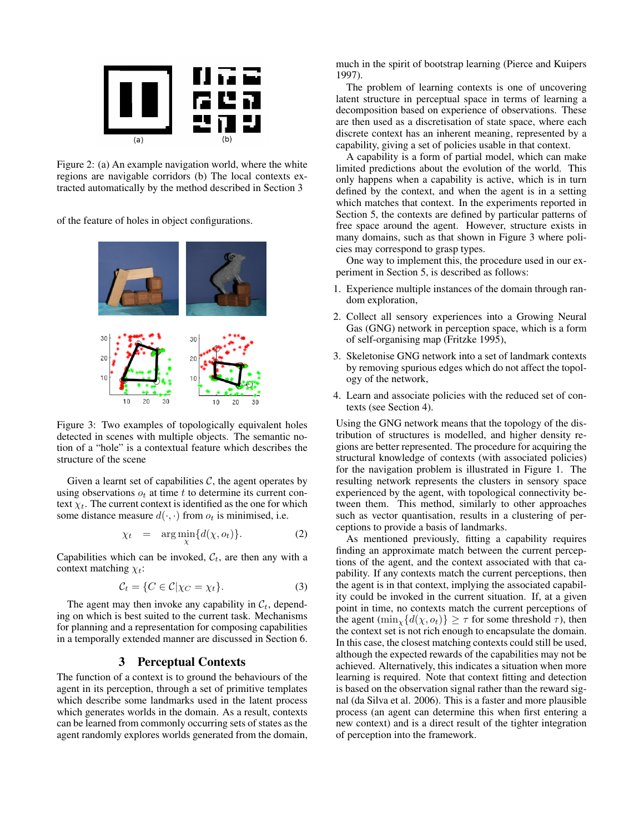

Figure 2: (a) An example navigation world, where the white regions are navigable corridors (b) The local contexts extracted automatically by the method described in Section 3

of the feature of holes in object configurations.



Figure 3: Two examples of topologically equivalent holes detected in scenes with multiple objects. The semantic notion of a "hole" is a contextual feature which describes the structure of the scene

Given a learnt set of capabilities  $C$ , the agent operates by using observations  $o_t$  at time t to determine its current context  $\chi_t$ . The current context is identified as the one for which some distance measure  $d(\cdot, \cdot)$  from  $o_t$  is minimised, i.e.

$$
\chi_t = \arg\min_{\chi} \{d(\chi, o_t)\}.
$$
 (2)

Capabilities which can be invoked,  $C_t$ , are then any with a context matching  $\chi_t$ :

$$
\mathcal{C}_t = \{ C \in \mathcal{C} | \chi_C = \chi_t \}. \tag{3}
$$

The agent may then invoke any capability in  $\mathcal{C}_t$ , depending on which is best suited to the current task. Mechanisms for planning and a representation for composing capabilities in a temporally extended manner are discussed in Section 6.

## 3 Perceptual Contexts

The function of a context is to ground the behaviours of the agent in its perception, through a set of primitive templates which describe some landmarks used in the latent process which generates worlds in the domain. As a result, contexts can be learned from commonly occurring sets of states as the agent randomly explores worlds generated from the domain,

much in the spirit of bootstrap learning (Pierce and Kuipers 1997).

The problem of learning contexts is one of uncovering latent structure in perceptual space in terms of learning a decomposition based on experience of observations. These are then used as a discretisation of state space, where each discrete context has an inherent meaning, represented by a capability, giving a set of policies usable in that context.

A capability is a form of partial model, which can make limited predictions about the evolution of the world. This only happens when a capability is active, which is in turn defined by the context, and when the agent is in a setting which matches that context. In the experiments reported in Section 5, the contexts are defined by particular patterns of free space around the agent. However, structure exists in many domains, such as that shown in Figure 3 where policies may correspond to grasp types.

One way to implement this, the procedure used in our experiment in Section 5, is described as follows:

- 1. Experience multiple instances of the domain through random exploration,
- 2. Collect all sensory experiences into a Growing Neural Gas (GNG) network in perception space, which is a form of self-organising map (Fritzke 1995),
- 3. Skeletonise GNG network into a set of landmark contexts by removing spurious edges which do not affect the topology of the network,
- 4. Learn and associate policies with the reduced set of contexts (see Section 4).

Using the GNG network means that the topology of the distribution of structures is modelled, and higher density regions are better represented. The procedure for acquiring the structural knowledge of contexts (with associated policies) for the navigation problem is illustrated in Figure 1. The resulting network represents the clusters in sensory space experienced by the agent, with topological connectivity between them. This method, similarly to other approaches such as vector quantisation, results in a clustering of perceptions to provide a basis of landmarks.

As mentioned previously, fitting a capability requires finding an approximate match between the current perceptions of the agent, and the context associated with that capability. If any contexts match the current perceptions, then the agent is in that context, implying the associated capability could be invoked in the current situation. If, at a given point in time, no contexts match the current perceptions of the agent  $(\min_{x} \{d(\chi, o_t)\} \geq \tau$  for some threshold  $\tau$ ), then the context set is not rich enough to encapsulate the domain. In this case, the closest matching contexts could still be used, although the expected rewards of the capabilities may not be achieved. Alternatively, this indicates a situation when more learning is required. Note that context fitting and detection is based on the observation signal rather than the reward signal (da Silva et al. 2006). This is a faster and more plausible process (an agent can determine this when first entering a new context) and is a direct result of the tighter integration of perception into the framework.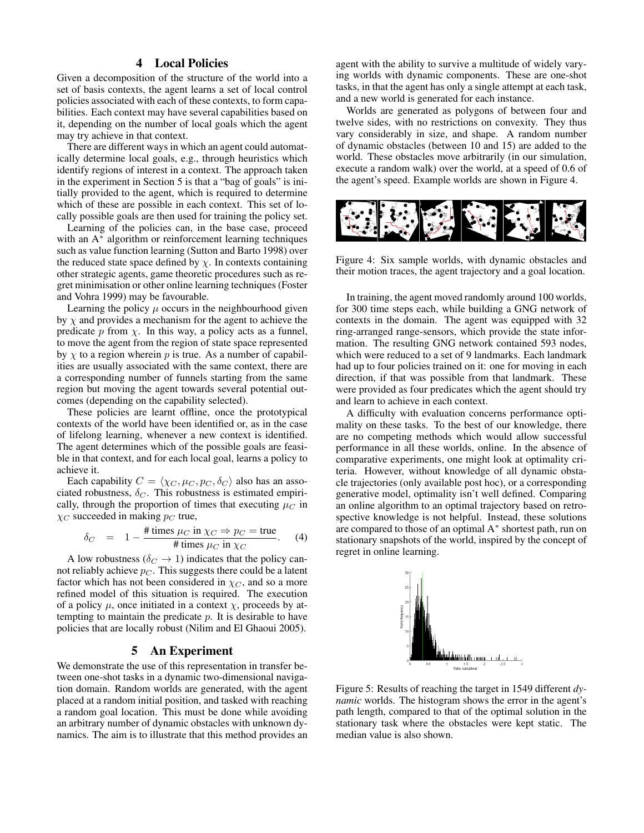## 4 Local Policies

Given a decomposition of the structure of the world into a set of basis contexts, the agent learns a set of local control policies associated with each of these contexts, to form capabilities. Each context may have several capabilities based on it, depending on the number of local goals which the agent may try achieve in that context.

There are different ways in which an agent could automatically determine local goals, e.g., through heuristics which identify regions of interest in a context. The approach taken in the experiment in Section 5 is that a "bag of goals" is initially provided to the agent, which is required to determine which of these are possible in each context. This set of locally possible goals are then used for training the policy set.

Learning of the policies can, in the base case, proceed with an A<sup>∗</sup> algorithm or reinforcement learning techniques such as value function learning (Sutton and Barto 1998) over the reduced state space defined by  $\chi$ . In contexts containing other strategic agents, game theoretic procedures such as regret minimisation or other online learning techniques (Foster and Vohra 1999) may be favourable.

Learning the policy  $\mu$  occurs in the neighbourhood given by  $\chi$  and provides a mechanism for the agent to achieve the predicate p from  $\chi$ . In this way, a policy acts as a funnel, to move the agent from the region of state space represented by  $\chi$  to a region wherein p is true. As a number of capabilities are usually associated with the same context, there are a corresponding number of funnels starting from the same region but moving the agent towards several potential outcomes (depending on the capability selected).

These policies are learnt offline, once the prototypical contexts of the world have been identified or, as in the case of lifelong learning, whenever a new context is identified. The agent determines which of the possible goals are feasible in that context, and for each local goal, learns a policy to achieve it.

Each capability  $C = \langle \chi_C, \mu_C, p_C, \delta_C \rangle$  also has an associated robustness,  $\delta_C$ . This robustness is estimated empirically, through the proportion of times that executing  $\mu_C$  in  $\chi_C$  succeeded in making  $p_C$  true,

$$
\delta_C = 1 - \frac{\text{\# times } \mu_C \text{ in } \chi_C \Rightarrow p_C = \text{true}}{\text{\# times } \mu_C \text{ in } \chi_C}.
$$
 (4)

A low robustness ( $\delta_C \rightarrow 1$ ) indicates that the policy cannot reliably achieve  $p_C$ . This suggests there could be a latent factor which has not been considered in  $\chi_C$ , and so a more refined model of this situation is required. The execution of a policy  $\mu$ , once initiated in a context  $\chi$ , proceeds by attempting to maintain the predicate  $p$ . It is desirable to have policies that are locally robust (Nilim and El Ghaoui 2005).

#### 5 An Experiment

We demonstrate the use of this representation in transfer between one-shot tasks in a dynamic two-dimensional navigation domain. Random worlds are generated, with the agent placed at a random initial position, and tasked with reaching a random goal location. This must be done while avoiding an arbitrary number of dynamic obstacles with unknown dynamics. The aim is to illustrate that this method provides an

agent with the ability to survive a multitude of widely varying worlds with dynamic components. These are one-shot tasks, in that the agent has only a single attempt at each task, and a new world is generated for each instance.

Worlds are generated as polygons of between four and twelve sides, with no restrictions on convexity. They thus vary considerably in size, and shape. A random number of dynamic obstacles (between 10 and 15) are added to the world. These obstacles move arbitrarily (in our simulation, execute a random walk) over the world, at a speed of 0.6 of the agent's speed. Example worlds are shown in Figure 4.



Figure 4: Six sample worlds, with dynamic obstacles and their motion traces, the agent trajectory and a goal location.

In training, the agent moved randomly around 100 worlds, for 300 time steps each, while building a GNG network of contexts in the domain. The agent was equipped with 32 ring-arranged range-sensors, which provide the state information. The resulting GNG network contained 593 nodes, which were reduced to a set of 9 landmarks. Each landmark had up to four policies trained on it: one for moving in each direction, if that was possible from that landmark. These were provided as four predicates which the agent should try and learn to achieve in each context.

A difficulty with evaluation concerns performance optimality on these tasks. To the best of our knowledge, there are no competing methods which would allow successful performance in all these worlds, online. In the absence of comparative experiments, one might look at optimality criteria. However, without knowledge of all dynamic obstacle trajectories (only available post hoc), or a corresponding generative model, optimality isn't well defined. Comparing an online algorithm to an optimal trajectory based on retrospective knowledge is not helpful. Instead, these solutions are compared to those of an optimal A<sup>∗</sup> shortest path, run on stationary snapshots of the world, inspired by the concept of regret in online learning.



Figure 5: Results of reaching the target in 1549 different *dynamic* worlds. The histogram shows the error in the agent's path length, compared to that of the optimal solution in the stationary task where the obstacles were kept static. The median value is also shown.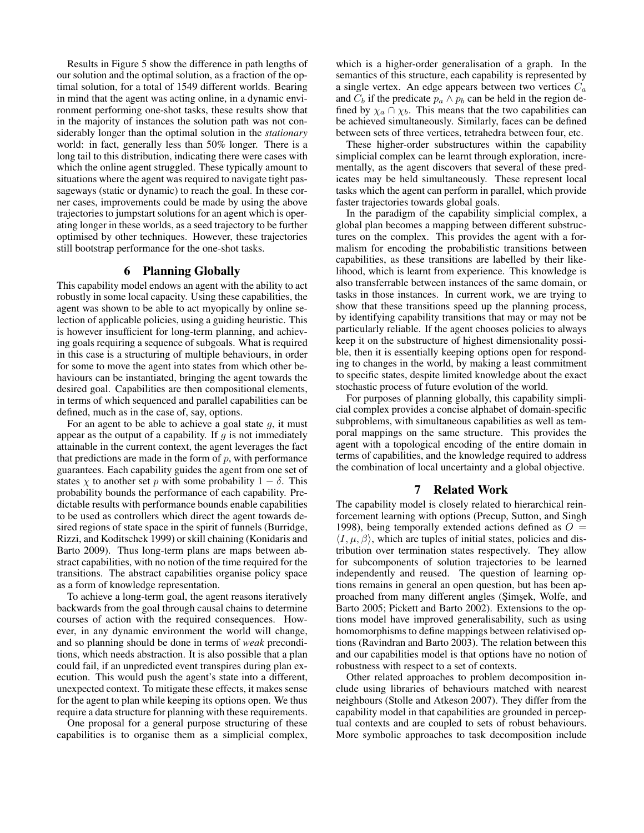Results in Figure 5 show the difference in path lengths of our solution and the optimal solution, as a fraction of the optimal solution, for a total of 1549 different worlds. Bearing in mind that the agent was acting online, in a dynamic environment performing one-shot tasks, these results show that in the majority of instances the solution path was not considerably longer than the optimal solution in the *stationary* world: in fact, generally less than 50% longer. There is a long tail to this distribution, indicating there were cases with which the online agent struggled. These typically amount to situations where the agent was required to navigate tight passageways (static or dynamic) to reach the goal. In these corner cases, improvements could be made by using the above trajectories to jumpstart solutions for an agent which is operating longer in these worlds, as a seed trajectory to be further optimised by other techniques. However, these trajectories still bootstrap performance for the one-shot tasks.

## 6 Planning Globally

This capability model endows an agent with the ability to act robustly in some local capacity. Using these capabilities, the agent was shown to be able to act myopically by online selection of applicable policies, using a guiding heuristic. This is however insufficient for long-term planning, and achieving goals requiring a sequence of subgoals. What is required in this case is a structuring of multiple behaviours, in order for some to move the agent into states from which other behaviours can be instantiated, bringing the agent towards the desired goal. Capabilities are then compositional elements, in terms of which sequenced and parallel capabilities can be defined, much as in the case of, say, options.

For an agent to be able to achieve a goal state  $g$ , it must appear as the output of a capability. If  $q$  is not immediately attainable in the current context, the agent leverages the fact that predictions are made in the form of  $p$ , with performance guarantees. Each capability guides the agent from one set of states  $\chi$  to another set p with some probability  $1 - \delta$ . This probability bounds the performance of each capability. Predictable results with performance bounds enable capabilities to be used as controllers which direct the agent towards desired regions of state space in the spirit of funnels (Burridge, Rizzi, and Koditschek 1999) or skill chaining (Konidaris and Barto 2009). Thus long-term plans are maps between abstract capabilities, with no notion of the time required for the transitions. The abstract capabilities organise policy space as a form of knowledge representation.

To achieve a long-term goal, the agent reasons iteratively backwards from the goal through causal chains to determine courses of action with the required consequences. However, in any dynamic environment the world will change, and so planning should be done in terms of *weak* preconditions, which needs abstraction. It is also possible that a plan could fail, if an unpredicted event transpires during plan execution. This would push the agent's state into a different, unexpected context. To mitigate these effects, it makes sense for the agent to plan while keeping its options open. We thus require a data structure for planning with these requirements.

One proposal for a general purpose structuring of these capabilities is to organise them as a simplicial complex,

which is a higher-order generalisation of a graph. In the semantics of this structure, each capability is represented by a single vertex. An edge appears between two vertices  $C_a$ and  $C_b$  if the predicate  $p_a \wedge p_b$  can be held in the region defined by  $\chi_a \cap \chi_b$ . This means that the two capabilities can be achieved simultaneously. Similarly, faces can be defined between sets of three vertices, tetrahedra between four, etc.

These higher-order substructures within the capability simplicial complex can be learnt through exploration, incrementally, as the agent discovers that several of these predicates may be held simultaneously. These represent local tasks which the agent can perform in parallel, which provide faster trajectories towards global goals.

In the paradigm of the capability simplicial complex, a global plan becomes a mapping between different substructures on the complex. This provides the agent with a formalism for encoding the probabilistic transitions between capabilities, as these transitions are labelled by their likelihood, which is learnt from experience. This knowledge is also transferrable between instances of the same domain, or tasks in those instances. In current work, we are trying to show that these transitions speed up the planning process, by identifying capability transitions that may or may not be particularly reliable. If the agent chooses policies to always keep it on the substructure of highest dimensionality possible, then it is essentially keeping options open for responding to changes in the world, by making a least commitment to specific states, despite limited knowledge about the exact stochastic process of future evolution of the world.

For purposes of planning globally, this capability simplicial complex provides a concise alphabet of domain-specific subproblems, with simultaneous capabilities as well as temporal mappings on the same structure. This provides the agent with a topological encoding of the entire domain in terms of capabilities, and the knowledge required to address the combination of local uncertainty and a global objective.

### 7 Related Work

The capability model is closely related to hierarchical reinforcement learning with options (Precup, Sutton, and Singh 1998), being temporally extended actions defined as  $O =$  $\langle I, \mu, \beta \rangle$ , which are tuples of initial states, policies and distribution over termination states respectively. They allow for subcomponents of solution trajectories to be learned independently and reused. The question of learning options remains in general an open question, but has been approached from many different angles (Simsek, Wolfe, and Barto 2005; Pickett and Barto 2002). Extensions to the options model have improved generalisability, such as using homomorphisms to define mappings between relativised options (Ravindran and Barto 2003). The relation between this and our capabilities model is that options have no notion of robustness with respect to a set of contexts.

Other related approaches to problem decomposition include using libraries of behaviours matched with nearest neighbours (Stolle and Atkeson 2007). They differ from the capability model in that capabilities are grounded in perceptual contexts and are coupled to sets of robust behaviours. More symbolic approaches to task decomposition include